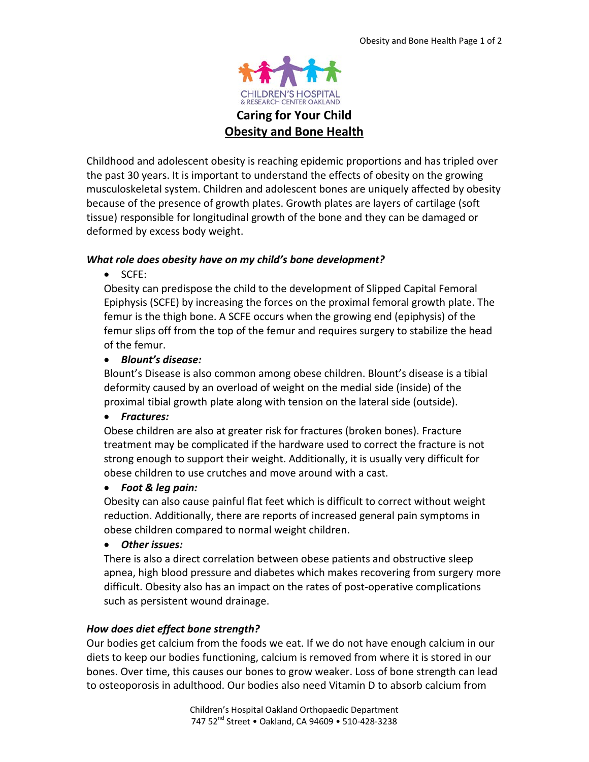

**Caring for Your Child Obesity and Bone Health**

Childhood and adolescent obesity is reaching epidemic proportions and has tripled over the past 30 years. It is important to understand the effects of obesity on the growing musculoskeletal system. Children and adolescent bones are uniquely affected by obesity because of the presence of growth plates. Growth plates are layers of cartilage (soft tissue) responsible for longitudinal growth of the bone and they can be damaged or deformed by excess body weight.

# *What role does obesity have on my child's bone development?*

• SCFE:

Obesity can predispose the child to the development of Slipped Capital Femoral Epiphysis (SCFE) by increasing the forces on the proximal femoral growth plate. The femur is the thigh bone. A SCFE occurs when the growing end (epiphysis) of the femur slips off from the top of the femur and requires surgery to stabilize the head of the femur.

## • *Blount's disease:*

Blount's Disease is also common among obese children. Blount's disease is a tibial deformity caused by an overload of weight on the medial side (inside) of the proximal tibial growth plate along with tension on the lateral side (outside).

## • *Fractures:*

Obese children are also at greater risk for fractures (broken bones). Fracture treatment may be complicated if the hardware used to correct the fracture is not strong enough to support their weight. Additionally, it is usually very difficult for obese children to use crutches and move around with a cast.

### • *Foot & leg pain:*

Obesity can also cause painful flat feet which is difficult to correct without weight reduction. Additionally, there are reports of increased general pain symptoms in obese children compared to normal weight children.

## • *Other issues:*

There is also a direct correlation between obese patients and obstructive sleep apnea, high blood pressure and diabetes which makes recovering from surgery more difficult. Obesity also has an impact on the rates of post-operative complications such as persistent wound drainage.

## *How does diet effect bone strength?*

Our bodies get calcium from the foods we eat. If we do not have enough calcium in our diets to keep our bodies functioning, calcium is removed from where it is stored in our bones. Over time, this causes our bones to grow weaker. Loss of bone strength can lead to osteoporosis in adulthood. Our bodies also need Vitamin D to absorb calcium from